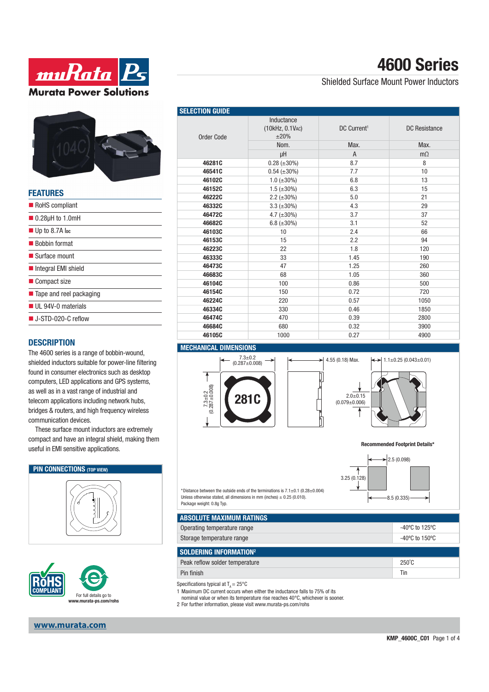



| FEAIUKES                               |
|----------------------------------------|
| RoHS compliant                         |
| $\blacksquare$ 0.28µH to 1.0mH         |
| $\blacksquare$ Up to 8.7A lpc          |
| ■ Bobbin format                        |
| $\blacksquare$ Surface mount           |
| Integral EMI shield                    |
| ■ Compact size                         |
| $\blacksquare$ Tape and reel packaging |
| UL 94V-0 materials                     |
| $\blacksquare$ J-STD-020-C reflow      |
|                                        |

## **DESCRIPTION**

**FEATURES**

The 4600 series is a range of bobbin-wound, shielded inductors suitable for power-line filtering found in consumer electronics such as desktop computers, LED applications and GPS systems, as well as in a vast range of industrial and telecom applications including network hubs, bridges & routers, and high frequency wireless communication devices.

These surface mount inductors are extremely compact and have an integral shield, making them useful in EMI sensitive applications.

## **PIN CONNECTIONS** (TOP VIEW)





## **www.murata.com**

| <b>SELECTION GUIDE</b> |                                             |                         |                      |
|------------------------|---------------------------------------------|-------------------------|----------------------|
| <b>Order Code</b>      | Inductance<br>(10kHz, 0.1VAC)<br>$\pm 20\%$ | DC Current <sup>1</sup> | <b>DC</b> Resistance |
|                        | Nom.                                        | Max.                    | Max.                 |
|                        | μH                                          | $\overline{A}$          | $m\Omega$            |
| 46281C                 | $0.28 (\pm 30\%)$                           | 8.7                     | 8                    |
| 46541C                 | $0.54 (\pm 30\%)$                           | 7.7                     | 10                   |
| 46102C                 | $1.0$ ( $\pm 30\%$ )                        | 6.8                     | 13                   |
| 46152C                 | $1.5 \ (\pm 30\%)$                          | 6.3                     | 15                   |
| 46222C                 | $2.2 (\pm 30\%)$                            | 5.0                     | 21                   |
| 46332C                 | $3.3 (\pm 30\%)$                            | 4.3                     | 29                   |
| 46472C                 | 4.7 $(\pm 30\%)$                            | 3.7                     | 37                   |
| 46682C                 | 6.8 $(\pm 30\%)$                            | 3.1                     | 52                   |
| 46103C                 | 10                                          | 2.4                     | 66                   |
| 46153C                 | 15                                          | 2.2                     | 94                   |
| 46223C                 | 22                                          | 1.8                     | 120                  |
| 46333C                 | 33                                          | 1.45                    | 190                  |
| 46473C                 | 47                                          | 1.25                    | 260                  |
| 46683C                 | 68                                          | 1.05                    | 360                  |
| 46104C                 | 100                                         | 0.86                    | 500                  |
| 46154C                 | 150                                         | 0.72                    | 720                  |
| 46224C                 | 220                                         | 0.57                    | 1050                 |
| 46334C                 | 330                                         | 0.46                    | 1850                 |
| 46474C                 | 470                                         | 0.39                    | 2800                 |
| 46684C                 | 680                                         | 0.32                    | 3900                 |
| 46105C                 | 1000                                        | 0.27                    | 4900                 |

## **MECHANICAL DIMENSIONS**







**4600 Series**

Shielded Surface Mount Power Inductors

#### **Recommended Footprint Details\***





\*Distance between the outside ends of the terminations is  $7.1 \pm 0.1$  (0.28 $\pm$ 0.004) Unless otherwise stated, all dimensions in mm (inches)  $\pm$  0.25 (0.010). Package weight: 0.8g Typ.

| <b>ABSOLUTE MAXIMUM RATINGS</b> |                                     |
|---------------------------------|-------------------------------------|
| Operating temperature range     | -40°C to 125°C                      |
| Storage temperature range       | $-40^{\circ}$ C to 150 $^{\circ}$ C |

| SOLDERING INFORMATION <sup>2</sup> |                 |  |  |
|------------------------------------|-----------------|--|--|
| Peak reflow solder temperature     | $250^{\circ}$ C |  |  |
| Pin finish                         | Tir             |  |  |

Specifications typical at  $T_a = 25^{\circ}$ C

1 Maximum DC current occurs when either the inductance falls to 75% of its

- nominal value or when its temperature rise reaches 40°C, whichever is sooner.
- 2 For further information, please visit www.murata-ps.com/rohs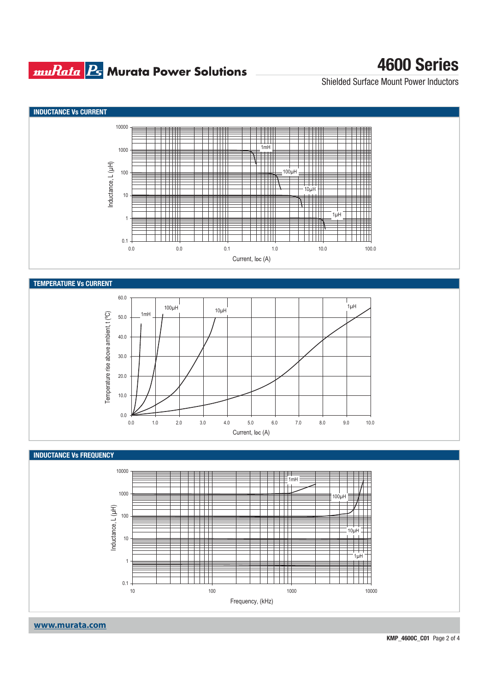## **muRata Ps** Murata Power Solutions

# **4600 Series**

Shielded Surface Mount Power Inductors



**KMP\_4600C\_C01** Page 2 of 4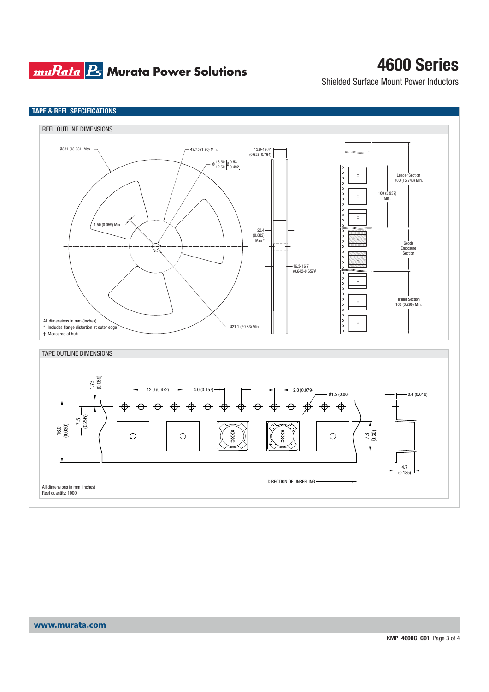## **muRata Ps** Murata Power Solutions

# **4600 Series**

Shielded Surface Mount Power Inductors